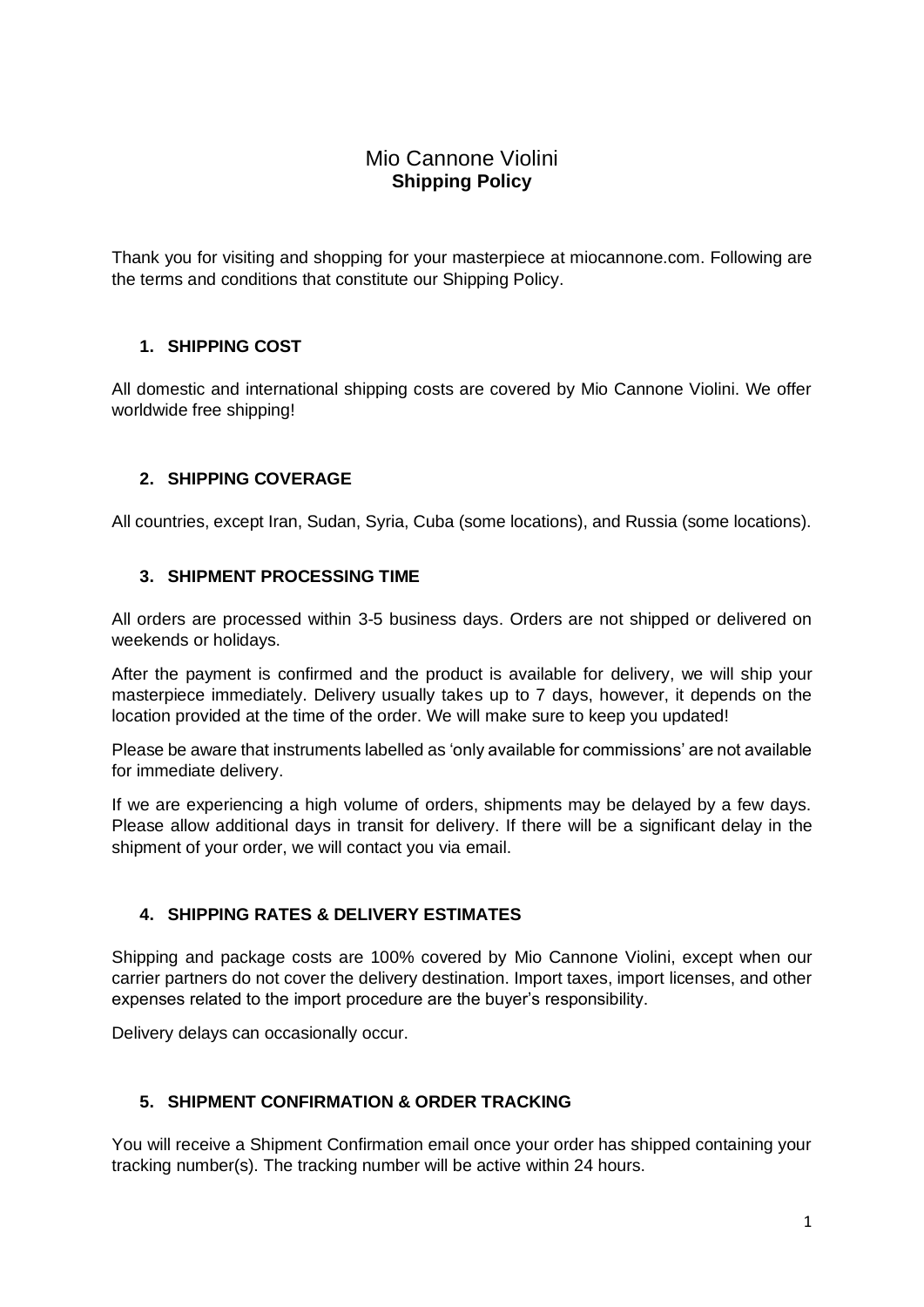# Mio Cannone Violini **Shipping Policy**

Thank you for visiting and shopping for your masterpiece at miocannone.com. Following are the terms and conditions that constitute our Shipping Policy.

## **1. SHIPPING COST**

All domestic and international shipping costs are covered by Mio Cannone Violini. We offer worldwide free shipping!

## **2. SHIPPING COVERAGE**

All countries, except Iran, Sudan, Syria, Cuba (some locations), and Russia (some locations).

## **3. SHIPMENT PROCESSING TIME**

All orders are processed within 3-5 business days. Orders are not shipped or delivered on weekends or holidays.

After the payment is confirmed and the product is available for delivery, we will ship your masterpiece immediately. Delivery usually takes up to 7 days, however, it depends on the location provided at the time of the order. We will make sure to keep you updated!

Please be aware that instruments labelled as 'only available for commissions' are not available for immediate delivery.

If we are experiencing a high volume of orders, shipments may be delayed by a few days. Please allow additional days in transit for delivery. If there will be a significant delay in the shipment of your order, we will contact you via email.

## **4. SHIPPING RATES & DELIVERY ESTIMATES**

Shipping and package costs are 100% covered by Mio Cannone Violini, except when our carrier partners do not cover the delivery destination. Import taxes, import licenses, and other expenses related to the import procedure are the buyer's responsibility.

Delivery delays can occasionally occur.

## **5. SHIPMENT CONFIRMATION & ORDER TRACKING**

You will receive a Shipment Confirmation email once your order has shipped containing your tracking number(s). The tracking number will be active within 24 hours.